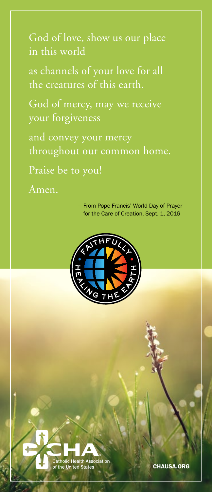God of love, show us our place in this world

as channels of your love for all the creatures of this earth.

God of mercy, may we receive your forgiveness

and convey your mercy throughout our common home.

Praise be to you!

Amen.

— From Pope Francis' World Day of Prayer for the Care of Creation, Sept. 1, 2016